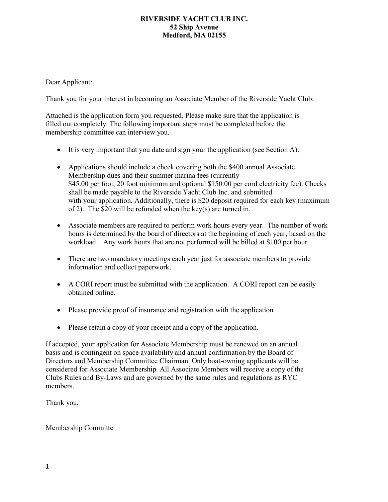Dear Applicant:

Thank you for your interest in becoming an Associate Member of the Riverside Yacht Club.

Attached is the application form you requested. Please make sure that the application is filled out completely. The following important steps must be completed before the membership committee can interview you.

- It is very important that you date and sign your the application (see Section A).
- Applications should include a check covering both the \$400 annual Associate Membership dues and their summer marina fees (currently \$45.00 per foot, 20 foot minimum and optional \$150.00 per cord electricity fee). Checks shall be made payable to the Riverside Yacht Club Inc. and submitted with your application. Additionally, there is \$20 deposit required for each key (maximum of 2). The \$20 will be refunded when the key(s) are turned in.
- Associate members are required to perform work hours every year. The number of work hours is determined by the board of directors at the beginning of each year, based on the workload. Any work hours that are not performed will be billed at \$100 per hour.
- There are two mandatory meetings each year just for associate members to provide information and collect paperwork.
- A CORI report must be submitted with the application. A CORI report can be easily obtained online.
- Please provide proof of insurance and registration with the application
- Please retain a copy of your receipt and a copy of the application.

If accepted, your application for Associate Membership must be renewed on an annual basis and is contingent on space availability and annual confirmation by the Board of Directors and Membership Committee Chairman. Only boat-owning applicants will be considered for Associate Membership. All Associate Members will receive a copy of the Clubs Rules and By-Laws and are governed by the same rules and regulations as RYC members.

Thank you,

Membership Committe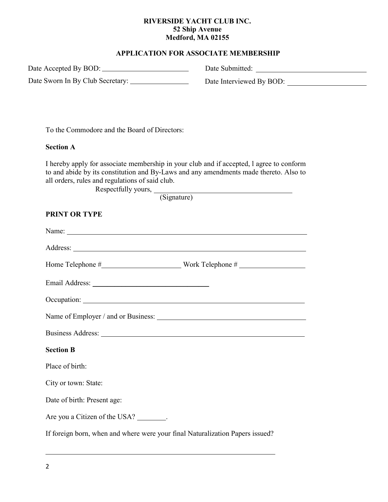## **APPLICATION FOR ASSOCIATE MEMBERSHIP**

Date Accepted By BOD:

Date Sworn In By Club Secretary:

Date Submitted:

Date Interviewed By BOD:

To the Commodore and the Board of Directors:

#### **Section A**

I hereby apply for associate membership in your club and if accepted, l agree to conform to and abide by its constitution and By-Laws and any amendments made thereto. Also to all orders, rules and regulations of said club.

Respectfully yours,

(Signature)

## **PRINT OR TYPE**

| Name: Name: Name: Name: Name: Name: Name: Name: Name: Name: Name: Name: Name: Name: Name: Name: Name: Name: Name: Name: Name: Name: Name: Name: Name: Name: Name: Name: Name: Name: Name: Name: Name: Name: Name: Name: Name: |  |
|-------------------------------------------------------------------------------------------------------------------------------------------------------------------------------------------------------------------------------|--|
|                                                                                                                                                                                                                               |  |
| Home Telephone $\#$ Work Telephone $\#$                                                                                                                                                                                       |  |
|                                                                                                                                                                                                                               |  |
|                                                                                                                                                                                                                               |  |
|                                                                                                                                                                                                                               |  |
|                                                                                                                                                                                                                               |  |
| <b>Section B</b>                                                                                                                                                                                                              |  |
| Place of birth:                                                                                                                                                                                                               |  |
| City or town: State:                                                                                                                                                                                                          |  |
| Date of birth: Present age:                                                                                                                                                                                                   |  |
| Are you a Citizen of the USA? ________.                                                                                                                                                                                       |  |
| If foreign born, when and where were your final Naturalization Papers issued?                                                                                                                                                 |  |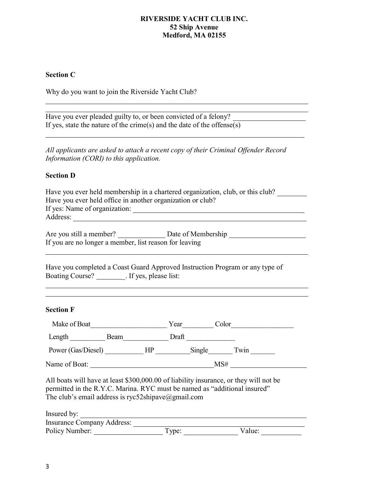# **Section C**

Why do you want to join the Riverside Yacht Club?

| Have you ever pleaded guilty to, or been convicted of a felony?                                                                                                                                                          |                            |        |
|--------------------------------------------------------------------------------------------------------------------------------------------------------------------------------------------------------------------------|----------------------------|--------|
| If yes, state the nature of the crime(s) and the date of the offense(s)                                                                                                                                                  |                            |        |
| All applicants are asked to attach a recent copy of their Criminal Offender Record<br>Information (CORI) to this application.                                                                                            |                            |        |
| <b>Section D</b>                                                                                                                                                                                                         |                            |        |
| Have you ever held membership in a chartered organization, club, or this club?<br>Have you ever held office in another organization or club?                                                                             |                            |        |
| If you are no longer a member, list reason for leaving                                                                                                                                                                   |                            |        |
| Have you completed a Coast Guard Approved Instruction Program or any type of<br>Boating Course? __________. If yes, please list:                                                                                         |                            |        |
| <b>Section F</b>                                                                                                                                                                                                         |                            |        |
|                                                                                                                                                                                                                          |                            |        |
| Make of Boat<br>Length Beam Draft<br>Draft                                                                                                                                                                               |                            |        |
| Power (Gas/Diesel) _____________HP ___________Single ________Twin ______________                                                                                                                                         |                            |        |
|                                                                                                                                                                                                                          | Name of Boat: $\text{MSE}$ |        |
| All boats will have at least \$300,000.00 of liability insurance, or they will not be<br>permitted in the R.Y.C. Marina. RYC must be named as "additional insured"<br>The club's email address is ryc52shipave@gmail.com |                            |        |
| Insured by:                                                                                                                                                                                                              |                            |        |
| <b>Insurance Company Address:</b><br>Policy Number:                                                                                                                                                                      | Type:                      | Value: |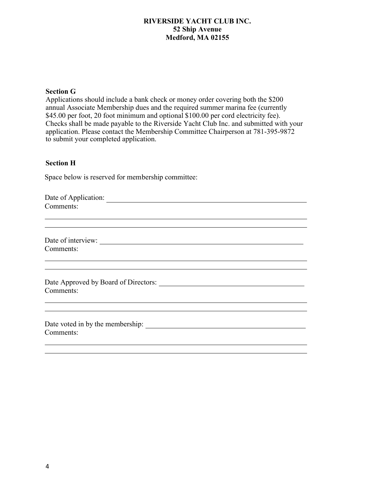## **Section G**

Applications should include a bank check or money order covering both the \$200 annual Associate Membership dues and the required summer marina fee (currently \$45.00 per foot, 20 foot minimum and optional \$100.00 per cord electricity fee). Checks shall be made payable to the Riverside Yacht Club Inc. and submitted with your application. Please contact the Membership Committee Chairperson at 781-395-9872 to submit your completed application.

#### **Section H**

Space below is reserved for membership committee:

| Date of Application:                 |
|--------------------------------------|
| Comments:                            |
|                                      |
|                                      |
| Date of interview:                   |
| Comments:                            |
|                                      |
| Date Approved by Board of Directors: |
| Comments:                            |
|                                      |
| Date voted in by the membership:     |
| Comments:                            |
|                                      |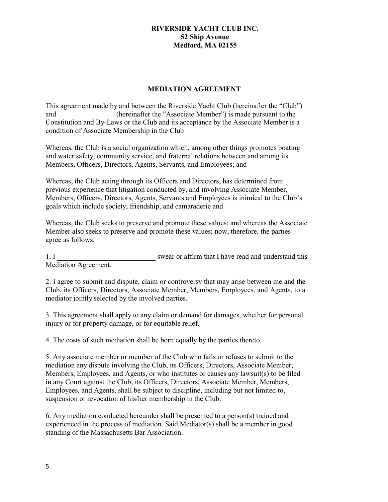#### **MEDIATION AGREEMENT**

This agreement made by and between the Riverside Yacht Club (hereinafter the "Club") and (hereinafter the "Associate Member") is made pursuant to the Constitution and By-Laws or the Club and its acceptance by the Associate Member is a condition of Associate Membership in the Club

Whereas, the Club is a social organization which, among other things promotes boating and water safety, community service, and fraternal relations between and among its Members, Officers, Directors, Agents, Servants, and Employees; and

Whereas, the Club acting through its Officers and Directors, has determined from previous experience that litigation conducted by, and involving Associate Member, Members, Officers, Directors, Agents, Servants and Employees is inimical to the Club's goals which include society, friendship, and camaraderie and

Whereas, the Club seeks to preserve and promote these values; and whereas the Associate Member also seeks to preserve and promote these values; now, therefore, the parties agree as follows;

1. I Mediation Agreement. swear or affirm that I have read and understand this

2. I agree to submit and dispute, claim or controversy that may arise between me and the Club, its Officers, Directors, Associate Member, Members, Employees, and Agents, to a mediator jointly selected by the involved parties.

3. This agreement shall apply to any claim or demand for damages, whether for personal injury or for property damage, or for equitable relief.

4. The costs of such mediation shall be born equally by the parties thereto.

5. Any associate member or member of the Club who fails or refuses to submit to the mediation any dispute involving the Club, its Officers, Directors, Associate Member, Members, Employees, and Agents, or who institutes or causes any lawsuit(s) to be filed in any Court against the Club, its Officers, Directors, Associate Member, Members, Employees, and Agents, shall be subject to discipline, including but not limited to, suspension or revocation of his/her membership in the Club.

6. Any mediation conducted hereunder shall be presented to a person(s) trained and experienced in the process of mediation. Said Mediator(s) shall be a member in good standing of the Massachusetts Bar Association.